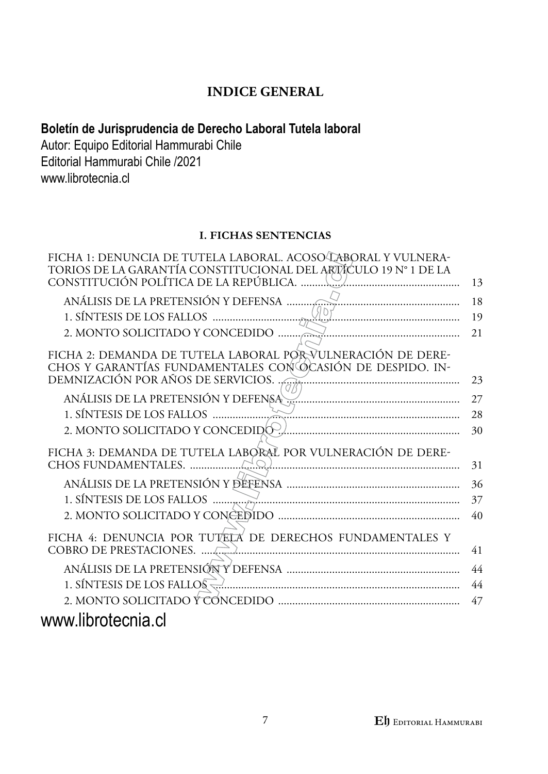## **INDICE GENERAL**

## **Boletín de Jurisprudencia de Derecho Laboral Tutela laboral**

Autor: Equipo Editorial Hammurabi Chile Editorial Hammurabi Chile /2021 www.librotecnia.cl

## **I. FICHAS SENTENCIAS**

| FICHA 1: DENUNCIA DE TUTELA LABORAL. ACOSO LABORAL Y VULNERA-<br>TORIOS DE LA GARANTÍA CONSTITUCIONAL DEL ARTÍCULO 19 Nº 1 DE LA |    |
|----------------------------------------------------------------------------------------------------------------------------------|----|
|                                                                                                                                  | 13 |
| ANÁLISIS DE LA PRETENSIÓN Y DEFENSA                                                                                              | 18 |
|                                                                                                                                  | 19 |
|                                                                                                                                  | 21 |
| FICHA 2: DEMANDA DE TUTELA LABORAL POR VULNERACIÓN DE DERE-                                                                      |    |
| CHOS Y GARANTÍAS FUNDAMENTALES CON ÓCASIÓN DE DESPIDO. IN-                                                                       |    |
| DEMNIZACIÓN POR AÑOS DE SERVICIOS.                                                                                               | 23 |
| ANÁLISIS DE LA PRETENSIÓN Y DEFENSA                                                                                              | 27 |
|                                                                                                                                  | 28 |
|                                                                                                                                  | 30 |
| FICHA 3: DEMANDA DE TUTELA LABORAL POR VULNERACIÓN DE DERE-                                                                      |    |
|                                                                                                                                  | 31 |
|                                                                                                                                  | 36 |
|                                                                                                                                  | 37 |
|                                                                                                                                  | 40 |
| FICHA 4: DENUNCIA POR TUTELA DE DERECHOS FUNDAMENTALES Y                                                                         |    |
|                                                                                                                                  | 41 |
|                                                                                                                                  | 44 |
|                                                                                                                                  | 44 |
|                                                                                                                                  | 47 |
| www.librotecnia.cl                                                                                                               |    |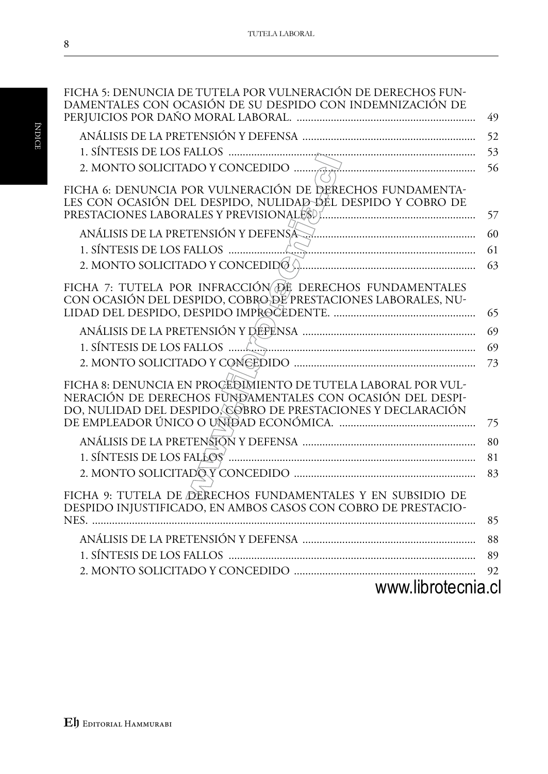| FICHA 5: DENUNCIA DE TUTELA POR VULNERACIÓN DE DERECHOS FUN-<br>DAMENTALES CON OCASIÓN DE SU DESPIDO CON INDEMNIZACIÓN DE                                                                  | 49 |
|--------------------------------------------------------------------------------------------------------------------------------------------------------------------------------------------|----|
|                                                                                                                                                                                            |    |
|                                                                                                                                                                                            | 52 |
|                                                                                                                                                                                            | 53 |
|                                                                                                                                                                                            | 56 |
| FICHA 6: DENUNCIA POR VULNERACIÓN DE DERECHOS FUNDAMENTA-<br>LES CON OCASIÓN DEL DESPIDO, NULIDAD DEL DESPIDO Y COBRO DE                                                                   | 57 |
| ANÁLISIS DE LA PRETENSIÓN Y DEFENSA MARIEMAN EN EL EL EL EL PRETENSIÓN Y DEFENSA                                                                                                           | 60 |
|                                                                                                                                                                                            | 61 |
|                                                                                                                                                                                            | 63 |
| FICHA 7: TUTELA POR INFRACCIÓN DE DERECHOS FUNDAMENTALES<br>CON OCASIÓN DEL DESPIDO, COBRO DE PRESTACIONES LABORALES, NU-                                                                  | 65 |
|                                                                                                                                                                                            |    |
|                                                                                                                                                                                            | 69 |
|                                                                                                                                                                                            | 69 |
|                                                                                                                                                                                            | 73 |
| FICHA 8: DENUNCIA EN PROCEDIMIENTO DE TUTELA LABORAL POR VUL-<br>NERACIÓN DE DERECHOS FUNDAMENTALES CON OCASIÓN DEL DESPI-<br>DO, NULIDAD DEL DESPIDO, COBRO DE PRESTACIONES Y DECLARACIÓN | 75 |
|                                                                                                                                                                                            |    |
|                                                                                                                                                                                            | 80 |
|                                                                                                                                                                                            | 81 |
|                                                                                                                                                                                            | 83 |
| FICHA 9: TUTELA DE DERECHOS FUNDAMENTALES Y EN SUBSIDIO DE<br>DESPIDO INJUSTIFICADO, EN AMBOS CASOS CON COBRO DE PRESTACIO-                                                                |    |
|                                                                                                                                                                                            | 85 |
|                                                                                                                                                                                            | 88 |
|                                                                                                                                                                                            | 89 |
|                                                                                                                                                                                            | 92 |
| www.librotecnia.cl                                                                                                                                                                         |    |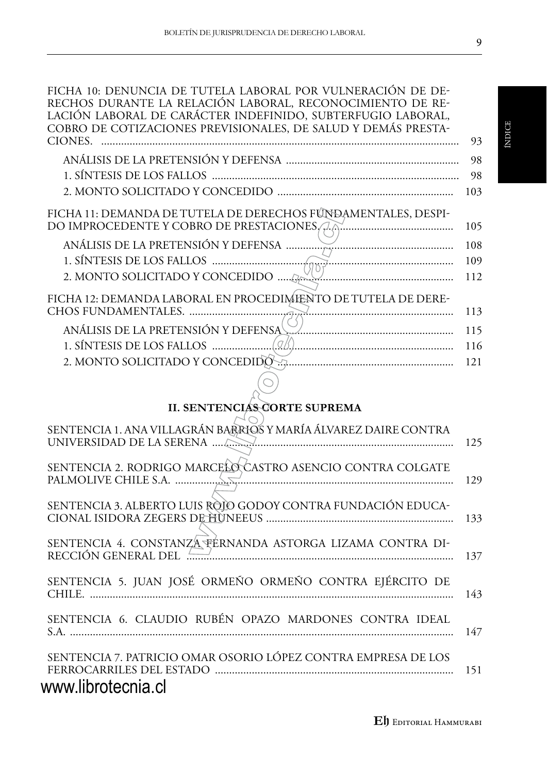| RECHOS DURANTE LA RELACIÓN LABORAL, RECONOCIMIENTO DE RE-<br>LACIÓN LABORAL DE CARÁCTER INDEFINIDO, SUBTERFUGIO LABORAL,<br>COBRO DE COTIZACIONES PREVISIONALES, DE SALUD Y DEMÁS PRESTA- |     |
|-------------------------------------------------------------------------------------------------------------------------------------------------------------------------------------------|-----|
| CIONES.                                                                                                                                                                                   | 93  |
|                                                                                                                                                                                           | 98  |
|                                                                                                                                                                                           | 98  |
|                                                                                                                                                                                           | 103 |
| FICHA 11: DEMANDA DE TUTELA DE DERECHOS FÚNDAMENTALES, DESPI-                                                                                                                             | 105 |
|                                                                                                                                                                                           | 108 |
|                                                                                                                                                                                           | 109 |
|                                                                                                                                                                                           | 112 |
| FICHA 12: DEMANDA LABORAL EN PROCEDIMIENTO DE TUTELA DE DERE-                                                                                                                             | 113 |
| ANÁLISIS DE LA PRETENSIÓN Y DEFENSA <u>Marian Alexandra III. (m. 191</u>                                                                                                                  | 115 |
|                                                                                                                                                                                           | 116 |
|                                                                                                                                                                                           | 121 |
|                                                                                                                                                                                           |     |
|                                                                                                                                                                                           |     |
| <b>II. SENTENCIÁS CORTE SUPREMA</b>                                                                                                                                                       |     |
| SENTENCIA 1. ANA VILLAGRÁN BARRIOS Y MARÍA ÁLVAREZ DAIRE CONTRA                                                                                                                           | 125 |
|                                                                                                                                                                                           |     |
| SENTENCIA 2. RODRIGO MARCELO CASTRO ASENCIO CONTRA COLGATE                                                                                                                                | 129 |
| SENTENCIA 3. ALBERTO LUIS ROIO GODOY CONTRA FUNDACIÓN EDUCA-                                                                                                                              | 133 |
| SENTENCIA 4. CONSTANZA FÉRNANDA ASTORGA LIZAMA CONTRA DI-                                                                                                                                 | 137 |
| SENTENCIA 5. JUAN JOSÉ ORMEÑO ORMEÑO CONTRA EJÉRCITO DE                                                                                                                                   | 143 |
| SENTENCIA 6. CLAUDIO RUBÉN OPAZO MARDONES CONTRA IDEAL                                                                                                                                    | 147 |
| SENTENCIA 7. PATRICIO OMAR OSORIO LÓPEZ CONTRA EMPRESA DE LOS<br>www.librotecnia.cl                                                                                                       | 151 |

ÍNDICE

**E**h Editorial Hammurabi